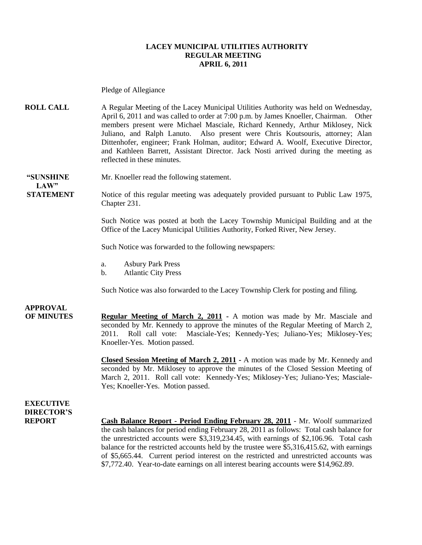#### **LACEY MUNICIPAL UTILITIES AUTHORITY REGULAR MEETING APRIL 6, 2011**

Pledge of Allegiance

**ROLL CALL** A Regular Meeting of the Lacey Municipal Utilities Authority was held on Wednesday, April 6, 2011 and was called to order at 7:00 p.m. by James Knoeller, Chairman. Other members present were Michael Masciale, Richard Kennedy, Arthur Miklosey, Nick Juliano, and Ralph Lanuto. Also present were Chris Koutsouris, attorney; Alan Dittenhofer, engineer; Frank Holman, auditor; Edward A. Woolf, Executive Director, and Kathleen Barrett, Assistant Director. Jack Nosti arrived during the meeting as reflected in these minutes.

**"SUNSHINE** Mr. Knoeller read the following statement.  $LAW"$ 

**STATEMENT** Notice of this regular meeting was adequately provided pursuant to Public Law 1975, Chapter 231.

> Such Notice was posted at both the Lacey Township Municipal Building and at the Office of the Lacey Municipal Utilities Authority, Forked River, New Jersey.

Such Notice was forwarded to the following newspapers:

- a. Asbury Park Press
- b. Atlantic City Press

Such Notice was also forwarded to the Lacey Township Clerk for posting and filing.

### **APPROVAL**

**OF MINUTES Regular Meeting of March 2, 2011 -** A motion was made by Mr. Masciale and seconded by Mr. Kennedy to approve the minutes of the Regular Meeting of March 2, 2011. Roll call vote: Masciale-Yes; Kennedy-Yes; Juliano-Yes; Miklosey-Yes; Knoeller-Yes. Motion passed.

> **Closed Session Meeting of March 2, 2011 -** A motion was made by Mr. Kennedy and seconded by Mr. Miklosey to approve the minutes of the Closed Session Meeting of March 2, 2011. Roll call vote: Kennedy-Yes; Miklosey-Yes; Juliano-Yes; Masciale-Yes; Knoeller-Yes. Motion passed.

**EXECUTIVE DIRECTOR'S**

**REPORT Cash Balance Report - Period Ending February 28, 2011** - Mr. Woolf summarized the cash balances for period ending February 28, 2011 as follows: Total cash balance for the unrestricted accounts were \$3,319,234.45, with earnings of \$2,106.96. Total cash balance for the restricted accounts held by the trustee were \$5,316,415.62, with earnings of \$5,665.44. Current period interest on the restricted and unrestricted accounts was \$7,772.40. Year-to-date earnings on all interest bearing accounts were \$14,962.89.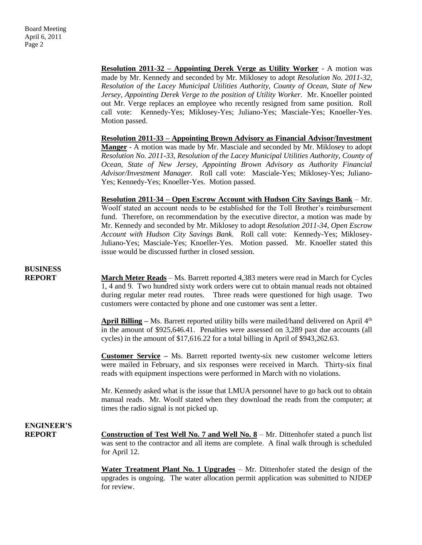**Resolution 2011-32 – Appointing Derek Verge as Utility Worker** - A motion was made by Mr. Kennedy and seconded by Mr. Miklosey to adopt *Resolution No. 2011-32, Resolution of the Lacey Municipal Utilities Authority, County of Ocean, State of New Jersey, Appointing Derek Verge to the position of Utility Worker.* Mr. Knoeller pointed out Mr. Verge replaces an employee who recently resigned from same position. Roll call vote: Kennedy-Yes; Miklosey-Yes; Juliano-Yes; Masciale-Yes; Knoeller-Yes. Motion passed.

**Resolution 2011-33 – Appointing Brown Advisory as Financial Advisor/Investment Manger** - A motion was made by Mr. Masciale and seconded by Mr. Miklosey to adopt *Resolution No. 2011-33, Resolution of the Lacey Municipal Utilities Authority, County of Ocean, State of New Jersey, Appointing Brown Advisory as Authority Financial Advisor/Investment Manager.* Roll call vote: Masciale-Yes; Miklosey-Yes; Juliano-Yes; Kennedy-Yes; Knoeller-Yes. Motion passed.

**Resolution 2011-34 – Open Escrow Account with Hudson City Savings Bank** – Mr. Woolf stated an account needs to be established for the Toll Brother's reimbursement fund. Therefore, on recommendation by the executive director, a motion was made by Mr. Kennedy and seconded by Mr. Miklosey to adopt *Resolution 2011-34, Open Escrow Account with Hudson City Savings Bank.* Roll call vote: Kennedy-Yes; Miklosey-Juliano-Yes; Masciale-Yes; Knoeller-Yes. Motion passed. Mr. Knoeller stated this issue would be discussed further in closed session.

# **BUSINESS**

**REPORT** March Meter Reads – Ms. Barrett reported 4,383 meters were read in March for Cycles 1, 4 and 9. Two hundred sixty work orders were cut to obtain manual reads not obtained during regular meter read routes. Three reads were questioned for high usage. Two customers were contacted by phone and one customer was sent a letter.

> April Billing – Ms. Barrett reported utility bills were mailed/hand delivered on April 4<sup>th</sup> in the amount of \$925,646.41. Penalties were assessed on 3,289 past due accounts (all cycles) in the amount of \$17,616.22 for a total billing in April of \$943,262.63.

> **Customer Service –** Ms. Barrett reported twenty-six new customer welcome letters were mailed in February, and six responses were received in March. Thirty-six final reads with equipment inspections were performed in March with no violations.

> Mr. Kennedy asked what is the issue that LMUA personnel have to go back out to obtain manual reads. Mr. Woolf stated when they download the reads from the computer; at times the radio signal is not picked up.

### **ENGINEER'S**

**REPORT Construction of Test Well No. 7 and Well No. 8** – Mr. Dittenhofer stated a punch list was sent to the contractor and all items are complete. A final walk through is scheduled for April 12.

> **Water Treatment Plant No. 1 Upgrades** – Mr. Dittenhofer stated the design of the upgrades is ongoing. The water allocation permit application was submitted to NJDEP for review.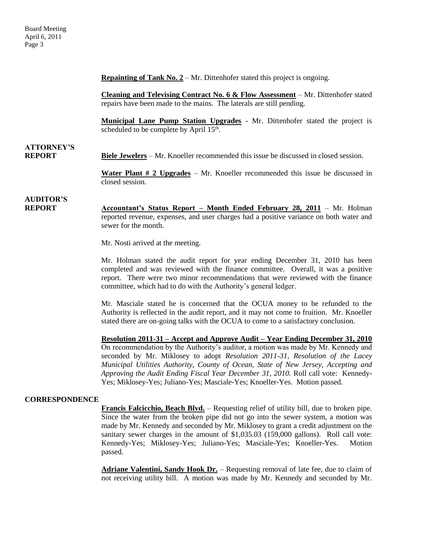**Repainting of Tank No. 2** – Mr. Dittenhofer stated this project is ongoing.

**Cleaning and Televising Contract No. 6 & Flow Assessment** – Mr. Dittenhofer stated repairs have been made to the mains. The laterals are still pending.

**Municipal Lane Pump Station Upgrades** - Mr. Dittenhofer stated the project is scheduled to be complete by April  $15<sup>th</sup>$ .

# **ATTORNEY'S**

**REPORT Biele Jewelers** – Mr. Knoeller recommended this issue be discussed in closed session.

**Water Plant # 2 Upgrades** – Mr. Knoeller recommended this issue be discussed in closed session.

# **AUDITOR'S**

**REPORT Accountant's Status Report – Month Ended February 28, 2011** – Mr. Holman reported revenue, expenses, and user charges had a positive variance on both water and sewer for the month.

Mr. Nosti arrived at the meeting.

Mr. Holman stated the audit report for year ending December 31, 2010 has been completed and was reviewed with the finance committee. Overall, it was a positive report. There were two minor recommendations that were reviewed with the finance committee, which had to do with the Authority's general ledger.

Mr. Masciale stated he is concerned that the OCUA money to be refunded to the Authority is reflected in the audit report, and it may not come to fruition. Mr. Knoeller stated there are on-going talks with the OCUA to come to a satisfactory conclusion.

**Resolution 2011-31 – Accept and Approve Audit – Year Ending December 31, 2010** On recommendation by the Authority's auditor, a motion was made by Mr. Kennedy and seconded by Mr. Miklosey to adopt *Resolution 2011-31, Resolution of the Lacey Municipal Utilities Authority, County of Ocean, State of New Jersey, Accepting and Approving the Audit Ending Fiscal Year December 31, 2010.* Roll call vote: Kennedy-Yes; Miklosey-Yes; Juliano-Yes; Masciale-Yes; Knoeller-Yes. Motion passed.

#### **CORRESPONDENCE**

**Francis Falcicchio, Beach Blvd.** – Requesting relief of utility bill, due to broken pipe. Since the water from the broken pipe did not go into the sewer system, a motion was made by Mr. Kennedy and seconded by Mr. Miklosey to grant a credit adjustment on the sanitary sewer charges in the amount of \$1,035.03 (159,000 gallons). Roll call vote: Kennedy-Yes; Miklosey-Yes; Juliano-Yes; Masciale-Yes; Knoeller-Yes. Motion passed.

**Adriane Valentini, Sandy Hook Dr.** – Requesting removal of late fee, due to claim of not receiving utility bill. A motion was made by Mr. Kennedy and seconded by Mr.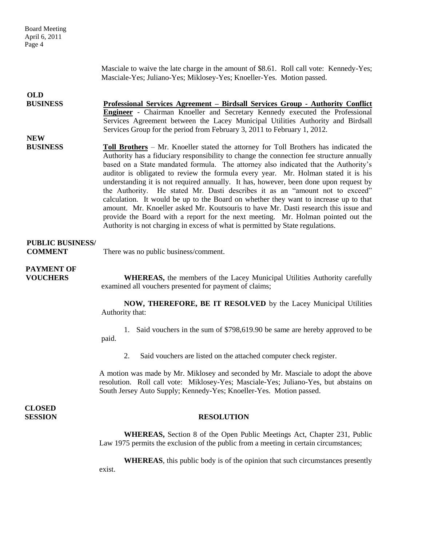| <b>Board Meeting</b><br>April 6, 2011<br>Page 4 |                                                                                                                                                                                                                                                                                                                                                                                                                                                                                                                                                                                                                                                                                                                                                                                                                                                                                                    |
|-------------------------------------------------|----------------------------------------------------------------------------------------------------------------------------------------------------------------------------------------------------------------------------------------------------------------------------------------------------------------------------------------------------------------------------------------------------------------------------------------------------------------------------------------------------------------------------------------------------------------------------------------------------------------------------------------------------------------------------------------------------------------------------------------------------------------------------------------------------------------------------------------------------------------------------------------------------|
|                                                 | Masciale to waive the late charge in the amount of \$8.61. Roll call vote: Kennedy-Yes;<br>Masciale-Yes; Juliano-Yes; Miklosey-Yes; Knoeller-Yes. Motion passed.                                                                                                                                                                                                                                                                                                                                                                                                                                                                                                                                                                                                                                                                                                                                   |
| <b>OLD</b>                                      |                                                                                                                                                                                                                                                                                                                                                                                                                                                                                                                                                                                                                                                                                                                                                                                                                                                                                                    |
| <b>BUSINESS</b>                                 | <u> Professional Services Agreement – Birdsall Services Group - Authority Conflict</u><br>Engineer - Chairman Knoeller and Secretary Kennedy executed the Professional<br>Services Agreement between the Lacey Municipal Utilities Authority and Birdsall<br>Services Group for the period from February 3, 2011 to February 1, 2012.                                                                                                                                                                                                                                                                                                                                                                                                                                                                                                                                                              |
| <b>NEW</b>                                      |                                                                                                                                                                                                                                                                                                                                                                                                                                                                                                                                                                                                                                                                                                                                                                                                                                                                                                    |
| <b>BUSINESS</b>                                 | <b>Toll Brothers</b> – Mr. Knoeller stated the attorney for Toll Brothers has indicated the<br>Authority has a fiduciary responsibility to change the connection fee structure annually<br>based on a State mandated formula. The attorney also indicated that the Authority's<br>auditor is obligated to review the formula every year. Mr. Holman stated it is his<br>understanding it is not required annually. It has, however, been done upon request by<br>the Authority. He stated Mr. Dasti describes it as an "amount not to exceed"<br>calculation. It would be up to the Board on whether they want to increase up to that<br>amount. Mr. Knoeller asked Mr. Koutsouris to have Mr. Dasti research this issue and<br>provide the Board with a report for the next meeting. Mr. Holman pointed out the<br>Authority is not charging in excess of what is permitted by State regulations. |
| <b>PUBLIC BUSINESS/</b><br><b>COMMENT</b>       | There was no public business/comment.                                                                                                                                                                                                                                                                                                                                                                                                                                                                                                                                                                                                                                                                                                                                                                                                                                                              |
| <b>PAYMENT OF</b><br><b>VOUCHERS</b>            | <b>WHEREAS</b> , the members of the Lacey Municipal Utilities Authority carefully<br>examined all vouchers presented for payment of claims;                                                                                                                                                                                                                                                                                                                                                                                                                                                                                                                                                                                                                                                                                                                                                        |
|                                                 | NOW, THEREFORE, BE IT RESOLVED by the Lacey Municipal Utilities<br>Authority that:                                                                                                                                                                                                                                                                                                                                                                                                                                                                                                                                                                                                                                                                                                                                                                                                                 |
|                                                 | 1. Said vouchers in the sum of \$798,619.90 be same are hereby approved to be<br>paid.                                                                                                                                                                                                                                                                                                                                                                                                                                                                                                                                                                                                                                                                                                                                                                                                             |
|                                                 | Said vouchers are listed on the attached computer check register.<br>2.                                                                                                                                                                                                                                                                                                                                                                                                                                                                                                                                                                                                                                                                                                                                                                                                                            |
|                                                 | A motion was made by Mr. Miklosey and seconded by Mr. Masciale to adopt the above<br>resolution. Roll call vote: Miklosey-Yes; Masciale-Yes; Juliano-Yes, but abstains on<br>South Jersey Auto Supply; Kennedy-Yes; Knoeller-Yes. Motion passed.                                                                                                                                                                                                                                                                                                                                                                                                                                                                                                                                                                                                                                                   |
| <b>CLOSED</b><br><b>SESSION</b>                 | <b>RESOLUTION</b>                                                                                                                                                                                                                                                                                                                                                                                                                                                                                                                                                                                                                                                                                                                                                                                                                                                                                  |
|                                                 | WHEREAS, Section 8 of the Open Public Meetings Act, Chapter 231, Public<br>Law 1975 permits the exclusion of the public from a meeting in certain circumstances;                                                                                                                                                                                                                                                                                                                                                                                                                                                                                                                                                                                                                                                                                                                                   |
|                                                 | <b>WHEREAS</b> , this public body is of the opinion that such circumstances presently<br>exist.                                                                                                                                                                                                                                                                                                                                                                                                                                                                                                                                                                                                                                                                                                                                                                                                    |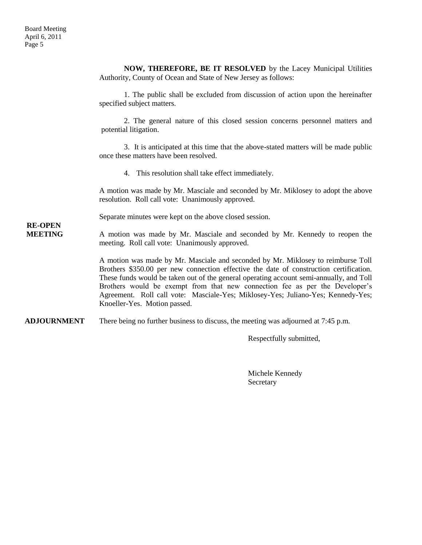**NOW, THEREFORE, BE IT RESOLVED** by the Lacey Municipal Utilities Authority, County of Ocean and State of New Jersey as follows: 1. The public shall be excluded from discussion of action upon the hereinafter specified subject matters. 2. The general nature of this closed session concerns personnel matters and potential litigation. 3. It is anticipated at this time that the above-stated matters will be made public once these matters have been resolved. 4. This resolution shall take effect immediately. A motion was made by Mr. Masciale and seconded by Mr. Miklosey to adopt the above resolution. Roll call vote: Unanimously approved. Separate minutes were kept on the above closed session. **RE-OPEN MEETING** A motion was made by Mr. Masciale and seconded by Mr. Kennedy to reopen the meeting. Roll call vote: Unanimously approved. A motion was made by Mr. Masciale and seconded by Mr. Miklosey to reimburse Toll Brothers \$350.00 per new connection effective the date of construction certification. These funds would be taken out of the general operating account semi-annually, and Toll Brothers would be exempt from that new connection fee as per the Developer's Agreement. Roll call vote: Masciale-Yes; Miklosey-Yes; Juliano-Yes; Kennedy-Yes; Knoeller-Yes. Motion passed. **ADJOURNMENT** There being no further business to discuss, the meeting was adjourned at 7:45 p.m. Respectfully submitted,

> Michele Kennedy Secretary